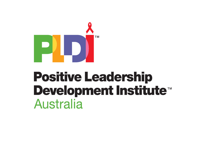

# **Positive Leadership** Development Institute<sup>™</sup> **Australia**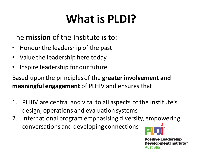# **What is PLDI?**

#### The **mission** of the Institute is to:

- Honour the leadership of the past
- Value the leadership here today
- Inspire leadership for our future

Based upon the principles of the greater involvement and **meaningful engagement** of PLHIV and ensures that:

- 1. PLHIV are central and vital to all aspects of the Institute's design, operations and evaluation systems
- 2. International program emphasising diversity, empowering conversations and developing connections



**Positive Leadership Development Institute™** Australia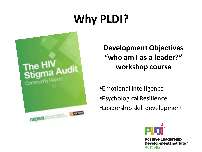# **Why PLDI?**



**Development Objectives** "who am I as a leader?" **workshop course**

•Emotional Intelligence •Psychological Resilience •Leadership skill development



**Positive Leadership** Development Institute<sup>®</sup> **Australia**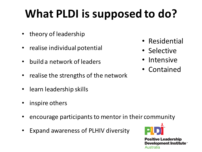# **What PLDI is supposed to do?**

- theory of leadership
- realise individual potential
- build a network of leaders
- realise the strengths of the network
- learn leadership skills
- inspire others
- encourage participants to mentor in their community
- Expand awareness of PLHIV diversity
- 

**Positive Leadership Development Institute™** Australia

- Residential
- Selective
- **Intensive**
- Contained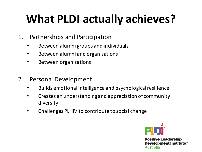# **What PLDI actually achieves?**

- 1. Partnerships and Participation
	- Between alumni groups and individuals
	- Between alumni and organisations
	- Between organisations
- 2. Personal Development
	- Builds emotional intelligence and psychological resilience
	- Creates an understanding and appreciation of community diversity
	- Challenges PLHIV to contribute to social change

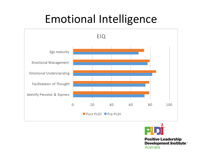## Emotional Intelligence





**Positive Leadership** Development Institute<sup>®</sup> **Australia**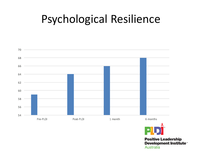## Psychological Resilience





**Positive Leadership** Development Institute<sup>\*</sup> Australia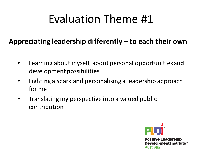## Evaluation Theme #1

#### Appreciating leadership differently – to each their own

- Learning about myself, about personal opportunities and development possibilities
- Lighting a spark and personalising a leadership approach for me
- Translating my perspective into a valued public contribution

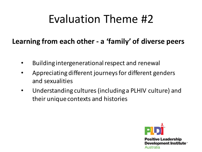## Evaluation Theme #2

#### Learning from each other - a 'family' of diverse peers

- Building intergenerational respect and renewal
- Appreciating different journeys for different genders and sexualities
- Understanding cultures (including a PLHIV culture) and their unique contexts and histories

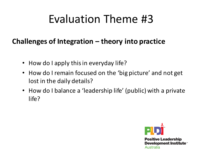## Evaluation Theme #3

#### **Challenges of Integration – theory into practice**

- How do I apply this in everyday life?
- How do I remain focused on the 'big picture' and not get lost in the daily details?
- How do I balance a 'leadership life' (public) with a private life?

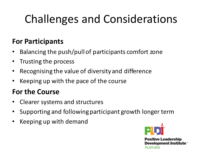# Challenges and Considerations

#### **For Participants**

- Balancing the push/pull of participants comfort zone
- Trusting the process
- Recognising the value of diversity and difference
- Keeping up with the pace of the course

#### **For the Course**

- Clearer systems and structures
- Supporting and following participant growth longer term
- Keeping up with demand

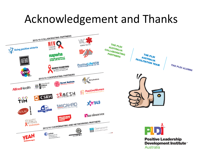## Acknowledgement and Thanks